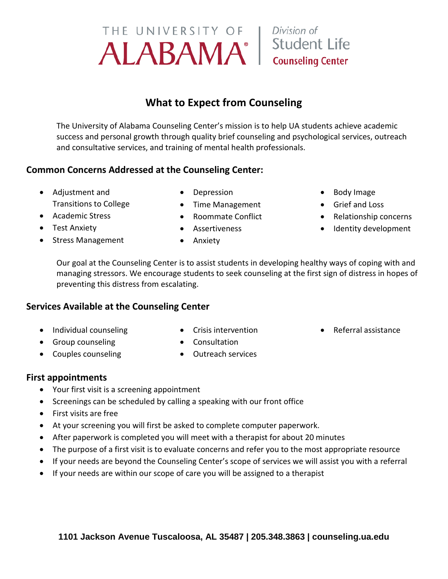## **What to Expect from Counseling**

The University of Alabama Counseling Center's mission is to help UA students achieve academic success and personal growth through quality brief counseling and psychological services, outreach and consultative services, and training of mental health professionals.

## **Common Concerns Addressed at the Counseling Center:**

- Adjustment and Transitions to College
- Academic Stress
- Test Anxiety
- Stress Management
- Depression
- Time Management
- Roommate Conflict
- Assertiveness
- Anxiety
- Body Image
- Grief and Loss
- Relationship concerns
- Identity development

Our goal at the Counseling Center is to assist students in developing healthy ways of coping with and managing stressors. We encourage students to seek counseling at the first sign of distress in hopes of preventing this distress from escalating.

### **Services Available at the Counseling Center**

- Individual counseling
- Group counseling
- Couples counseling
- Crisis intervention
- Referral assistance
- Consultation
- Outreach services

## **First appointments**

- Your first visit is a screening appointment
- Screenings can be scheduled by calling a speaking with our front office
- First visits are free
- At your screening you will first be asked to complete computer paperwork.
- After paperwork is completed you will meet with a therapist for about 20 minutes
- The purpose of a first visit is to evaluate concerns and refer you to the most appropriate resource
- If your needs are beyond the Counseling Center's scope of services we will assist you with a referral
- If your needs are within our scope of care you will be assigned to a therapist



## Division of